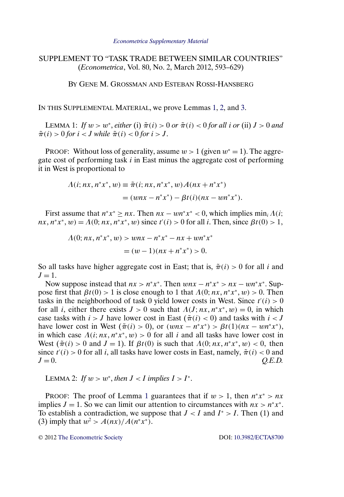## SUPPLEMENT TO "TASK TRADE BETWEEN SIMILAR COUNTRIES" (*Econometrica*, Vol. 80, No. 2, March 2012, 593–629)

BY GENE M. GROSSMAN AND ESTEBAN ROSSI-HANSBERG

IN THIS SUPPLEMENTAL MATERIAL, we prove Lemmas 1, 2, and [3.](#page-1-0)

LEMMA 1: *If*  $w > w^*$ , *either* (i)  $\tilde{\pi}(i) > 0$  *or*  $\tilde{\pi}(i) < 0$  *for all i or* (ii)  $J > 0$  *and*  $\tilde{\pi}(i) > 0$  for  $i < J$  while  $\tilde{\pi}(i) < 0$  for  $i > J$ .

PROOF: Without loss of generality, assume  $w > 1$  (given  $w^* = 1$ ). The aggregate cost of performing task  $i$  in East minus the aggregate cost of performing it in West is proportional to

$$
\begin{aligned} \Lambda(i; nx, n^*x^*, w) &\equiv \tilde{\pi}(i; nx, n^*x^*, w) A(nx + n^*x^*) \\ &= (wnx - n^*x^*) - \beta t(i)(nx - wn^*x^*). \end{aligned}
$$

First assume that  $n^*x^* \ge nx$ . Then  $nx - \omega n^*x^* < 0$ , which implies  $\min_i \Lambda(i;$  $nx, n^*x^*, w) = \Lambda(0; nx, n^*x^*, w)$  since  $t'(i) > 0$  for all *i*. Then, since  $\beta t(0) > 1$ ,

$$
\Lambda(0; nx, n^*x^*, w) > wnx - n^*x^* - nx + wn^*x^*
$$
  
=  $(w - 1)(nx + n^*x^*) > 0$ .

So all tasks have higher aggregate cost in East; that is,  $\tilde{\pi}(i) > 0$  for all i and  $J=1$ .

Now suppose instead that  $nx > n^*x^*$ . Then  $wnx - n^*x^* > nx - wn^*x^*$ . Suppose first that  $\beta t(0) > 1$  is close enough to 1 that  $\Lambda(0; nx, n^*x^*, w) > 0$ . Then tasks in the neighborhood of task 0 yield lower costs in West. Since  $t'(i) > 0$ for all *i*, either there exists  $J > 0$  such that  $\Lambda(J; nx, n^*x^*, w) = 0$ , in which case tasks with  $i > J$  have lower cost in East ( $\tilde{\pi}(i) < 0$ ) and tasks with  $i < J$ have lower cost in West  $(\tilde{\pi}(i) > 0)$ , or  $(wnx - n^*x^*) > \beta t(1)(nx - wn^*x^*)$ , in which case  $\Lambda(i; nx, n^*x^*, w) > 0$  for all i and all tasks have lower cost in West  $(\tilde{\pi}(i) > 0$  and  $J = 1$ ). If  $\beta t(0)$  is such that  $\Lambda(0; nx, n^*x^*, w) < 0$ , then since  $t'(i) > 0$  for all i, all tasks have lower costs in East, namely,  $\tilde{\pi}(i) < 0$  and  $J = 0.$  *Q.E.D.* 

```
LEMMA 2: If w > w^*, then J < I implies I > I^*.
```
PROOF: The proof of Lemma 1 guarantees that if  $w > 1$ , then  $n^*x^* > nx$ implies  $J = 1$ . So we can limit our attention to circumstances with  $nx > n^*x^*$ . To establish a contradiction, we suppose that  $J < I$  and  $I^* > I$ . Then (1) and (3) imply that  $w^2 > A(nx)/A(n^*x^*)$ .

© 2012 [The Econometric Society](http://www.econometricsociety.org/) DOI: [10.3982/ECTA8700](http://dx.doi.org/10.3982/ECTA8700)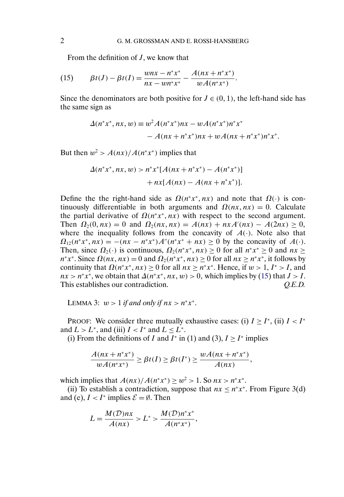<span id="page-1-0"></span>From the definition of  $J$ , we know that

(15) 
$$
\beta t(I) - \beta t(I) = \frac{wnx - n^*x^*}{nx - wn^*x^*} - \frac{A(nx + n^*x^*)}{wA(n^*x^*)}.
$$

Since the denominators are both positive for  $J \in (0, 1)$ , the left-hand side has the same sign as

$$
\Delta(n^*x^*, nx, w) \equiv w^2 A(n^*x^*)nx - wA(n^*x^*)n^*x^*
$$

$$
-A(nx + n^*x^*)nx + wA(nx + n^*x^*)n^*x^*.
$$

But then  $w^2 > A(nx)/A(n^*x^*)$  implies that

$$
\Delta(n^*x^*, nx, w) > n^*x^*[A(nx + n^*x^*) - A(n^*x^*)]
$$

$$
+ nx[A(nx) - A(nx + n^*x^*)].
$$

Define the the right-hand side as  $\Omega(n*x^*, nx)$  and note that  $\Omega(\cdot)$  is continuously differentiable in both arguments and  $\Omega(nx, nx) = 0$ . Calculate the partial derivative of  $\Omega(n^*x^*, nx)$  with respect to the second argument. Then  $\Omega_2(0, nx) = 0$  and  $\Omega_2(nx, nx) = A(nx) + nxA'(nx) - A(2nx) \ge 0$ , where the inequality follows from the concavity of  $A(\cdot)$ . Note also that  $\Omega_{12}(n^*x^*, nx) = -(nx - n^*x^*)A''(n^*x^* + nx) \ge 0$  by the concavity of  $A(.)$ . Then, since  $\Omega_2(\cdot)$  is continuous,  $\Omega_2(n^*x^*, nx) \ge 0$  for all  $n^*x^* \ge 0$  and  $nx \ge 0$  $n^*x^*$ . Since  $\Omega(nx, nx) = 0$  and  $\Omega_2(n^*x^*, nx) \ge 0$  for all  $nx \ge n^*x^*$ , it follows by continuity that  $\Omega(n^*x^*, nx) \ge 0$  for all  $nx \ge n^*x^*$ . Hence, if  $w > 1$ ,  $I^* > I$ , and  $nx > n^*x^*$ , we obtain that  $\Delta(n^*x^*, nx, w) > 0$ , which implies by (15) that  $J > I$ . This establishes our contradiction.  $Q.E.D.$ 

LEMMA 3:  $w > 1$  *if and only if*  $nx > n^*x^*$ .

PROOF: We consider three mutually exhaustive cases: (i)  $I > I^*$ , (ii)  $I < I^*$ and  $L>L^*$ , and (iii)  $I < I^*$  and  $L \leq L^*$ .

(i) From the definitions of I and I<sup>\*</sup> in (1) and (3),  $I \ge I^*$  implies

$$
\frac{A(nx + n^*x^*)}{wA(n^*x^*)} \ge \beta t(I) \ge \beta t(I^*) \ge \frac{wA(nx + n^*x^*)}{A(nx)},
$$

which implies that  $A(nx)/A(n^*x^*) \geq w^2 > 1$ . So  $nx > n^*x^*$ .

(ii) To establish a contradiction, suppose that  $nx \leq n^*x^*$ . From Figure 3(d) and (e),  $I < I^*$  implies  $\mathcal{E} = \emptyset$ . Then

$$
L = \frac{M(D)n x}{A(n x)} > L^* > \frac{M(D)n^* x^*}{A(n^* x^*)},
$$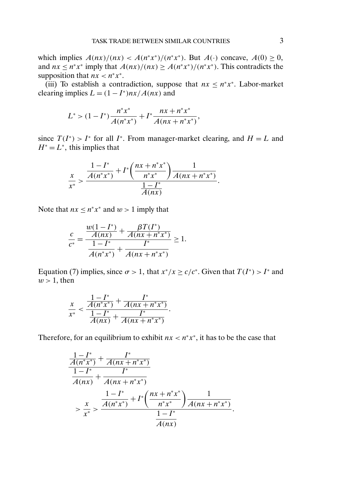which implies  $A(nx)/(nx) < A(n^*x^*)/(n^*x^*)$ . But  $A(\cdot)$  concave,  $A(0) \ge 0$ , and  $nx \leq n^*x^*$  imply that  $A(nx)/(nx) \geq A(n^*x^*)/(n^*x^*)$ . This contradicts the supposition that  $nx < n^*x^*$ .

(iii) To establish a contradiction, suppose that  $nx \leq n^*x^*$ . Labor-market clearing implies  $L = (1 - I^*)nx/A(nx)$  and

$$
L^* > (1 - I^*) \frac{n^* x^*}{A(n^* x^*)} + I^* \frac{nx + n^* x^*}{A(n x + n^* x^*)},
$$

since  $T(I^*) > I^*$  for all I<sup>∗</sup>. From manager-market clearing, and  $H = L$  and  $H^* = L^*$ , this implies that

$$
\frac{x}{x^{*}} > \frac{\frac{1-I^{*}}{A(n^{*}x^{*})} + I^{*}\left(\frac{nx+n^{*}x^{*}}{n^{*}x^{*}}\right)\frac{1}{A(nx+n^{*}x^{*})}}{\frac{1-I^{*}}{A(nx)}}.
$$

Note that  $nx \leq n^*x^*$  and  $w > 1$  imply that

$$
\frac{c}{c^*} = \frac{\frac{w(1-I^*)}{A(nx)} + \frac{\beta T(I^*)}{A(nx+n^*x^*)}}{\frac{1-I^*}{A(n^*x^*)} + \frac{I^*}{A(nx+n^*x^*)}} \ge 1.
$$

Equation (7) implies, since  $\sigma > 1$ , that  $x^*/x \ge c/c^*$ . Given that  $T(I^*) > I^*$  and  $w > 1$ , then

$$
\frac{x}{x^*} < \frac{\frac{1 - I^*}{A(n^*x^*)} + \frac{I^*}{A(nx + n^*x^*)}}{\frac{1 - I^*}{A(nx)} + \frac{I^*}{A(nx + n^*x^*)}}.
$$

Therefore, for an equilibrium to exhibit  $nx < n^*x^*$ , it has to be the case that

$$
\frac{\frac{1 - I^*}{A(n^*x^*)} + \frac{I^*}{A(nx + n^*x^*)}}{1 - I^*} + \frac{I^*}{A(nx + n^*x^*)}
$$
\n
$$
\frac{1 - I^*}{x^*} + I^*\left(\frac{nx + n^*x^*}{n^*x^*}\right) \frac{1}{A(nx + n^*x^*)}
$$
\n
$$
= \frac{x}{x^*} \frac{\frac{1 - I^*}{A(n^*x^*)} + I^*\left(\frac{nx + n^*x^*}{n^*x^*}\right) \frac{1}{A(nx + n^*x^*)}}{\frac{1 - I^*}{A(nx)}}.
$$